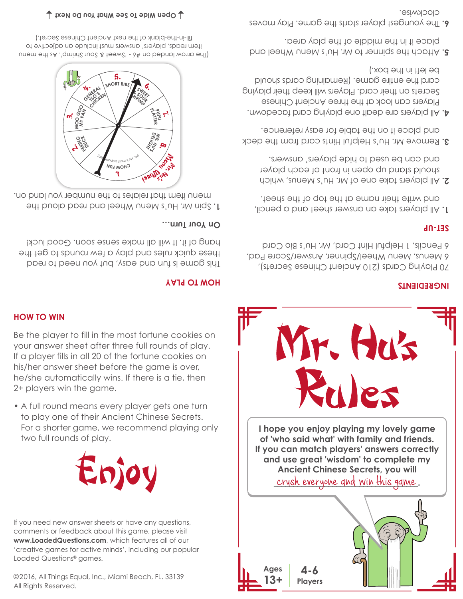©2016, All Things Equal, Inc., Miami Beach, FL. 33139 All Rights Reserved.

If you need new answer sheets or have any questions, comments or feedback about this game, please visit **www.LoadedQuestions.com**, which features all of our 'creative games for active minds', including our popular Loaded Questions® games.



• A full round means every player gets one turn to play one of their Ancient Chinese Secrets. For a shorter game, we recommend playing only two full rounds of play.

your answer sheet after three full rounds of play. If a player fills in all 20 of the fortune cookies on his/her answer sheet before the game is over, he/she automatically wins. If there is a tie, then 2+ players win the game.

# Be the player to fill in the most fortune cookies on

# **HOW TO WIN**

# **HOW TO PLAY** This game is fun and easy, but you need to read

these quick rules and play a few rounds to get the hang of it. It will all make sense soon. Good luck!

### **On Your Turn…**

Spin Mr. Hu's Menu Wheel and read aloud the **1.** menu item that relates to the number you land on.



(The arrow landed on #6 - 'Sweet & Sour Shrimp'. As the menu item reads, players' answers must include an adjective to fill-in-the-blank of the next Ancient Chinese Secret.)

**Open Wide To See What You Do Next**



# Yr. Hus

# **INGREDIENTS**

70 Playing Cards (210 Ancient Chinese Secrets), 6 Menus, Menu Wheel/Spinner, Answer/Score Pad, 6 Pencils, 1 Helpful Hint Card, Mr. Hu's Bio Card

## **SET-UP**

- All players take an answer sheet and a pencil, **1.** and wite their name at the top of the sheet.
- All players take one of Mr. Hu's Menus, which **2.** should stand up open in front of each player and can be used to hide players' answers.
- deck Remove Mr. Hu's Helpful Hints card from the **3.** and place it on the table for easy reference.
- 4. All players are dealt one playing card facedown. Players can look at the three Ancient Chinese Secrets on their card. Players will keep their playing card the entire game. (Remaining cards should be left in the box.)
- Attach the spinner to Mr. Hu's Menu Wheel and **5.** place it in the middle of the play area.
- The youngest player starts the game. Play moves **6.** clockwise.